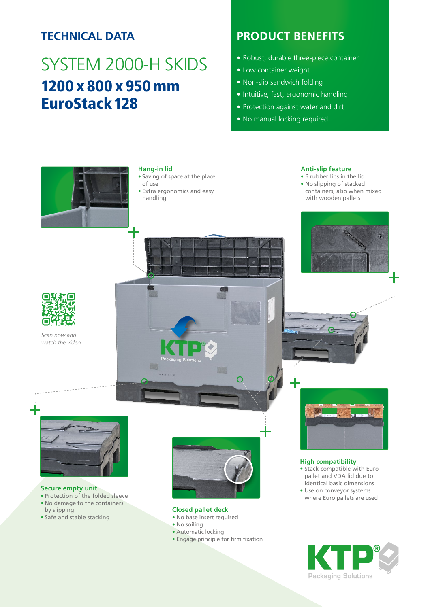## **TECHNICAL DATA**

# SYSTEM 2000-H SKIDS 1200 x 800 x 950 mm EuroStack128

## **PRODUCT BENEFITS**

- Robust, durable three-piece container
- Low container weight
- Non-slip sandwich folding
- Intuitive, fast, ergonomic handling
- Protection against water and dirt
- No manual locking required



#### **Hang-in lid**

- Saving of space at the place of use
- Extra ergonomics and easy handling

#### **Anti-slip feature**

- 6 rubber lips in the lid
- No slipping of stacked containers; also when mixed with wooden pallets



*Scan now and watch the video.*



#### **Secure empty unit**

- Protection of the folded sleeve
- No damage to the containers by slipping
- Safe and stable stacking



 $\Omega$ 

#### **Closed pallet deck**

- No base insert required
- No soiling
- Automatic locking
- Engage principle for firm fixation



#### **High compatibility**

• Stack-compatible with Euro pallet and VDA lid due to identical basic dimensions • Use on conveyor systems where Euro pallets are used